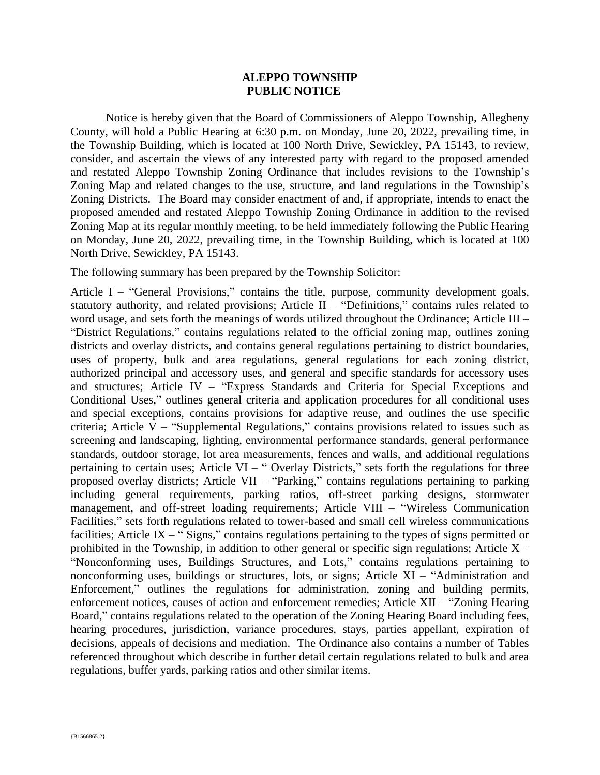## **ALEPPO TOWNSHIP PUBLIC NOTICE**

Notice is hereby given that the Board of Commissioners of Aleppo Township, Allegheny County, will hold a Public Hearing at 6:30 p.m. on Monday, June 20, 2022, prevailing time, in the Township Building, which is located at 100 North Drive, Sewickley, PA 15143, to review, consider, and ascertain the views of any interested party with regard to the proposed amended and restated Aleppo Township Zoning Ordinance that includes revisions to the Township's Zoning Map and related changes to the use, structure, and land regulations in the Township's Zoning Districts. The Board may consider enactment of and, if appropriate, intends to enact the proposed amended and restated Aleppo Township Zoning Ordinance in addition to the revised Zoning Map at its regular monthly meeting, to be held immediately following the Public Hearing on Monday, June 20, 2022, prevailing time, in the Township Building, which is located at 100 North Drive, Sewickley, PA 15143.

The following summary has been prepared by the Township Solicitor:

Article I – "General Provisions," contains the title, purpose, community development goals, statutory authority, and related provisions; Article II – "Definitions," contains rules related to word usage, and sets forth the meanings of words utilized throughout the Ordinance; Article III – "District Regulations," contains regulations related to the official zoning map, outlines zoning districts and overlay districts, and contains general regulations pertaining to district boundaries, uses of property, bulk and area regulations, general regulations for each zoning district, authorized principal and accessory uses, and general and specific standards for accessory uses and structures; Article IV – "Express Standards and Criteria for Special Exceptions and Conditional Uses," outlines general criteria and application procedures for all conditional uses and special exceptions, contains provisions for adaptive reuse, and outlines the use specific criteria; Article V – "Supplemental Regulations," contains provisions related to issues such as screening and landscaping, lighting, environmental performance standards, general performance standards, outdoor storage, lot area measurements, fences and walls, and additional regulations pertaining to certain uses; Article VI – " Overlay Districts," sets forth the regulations for three proposed overlay districts; Article VII – "Parking," contains regulations pertaining to parking including general requirements, parking ratios, off-street parking designs, stormwater management, and off-street loading requirements; Article VIII – "Wireless Communication Facilities," sets forth regulations related to tower-based and small cell wireless communications facilities; Article IX – "Signs," contains regulations pertaining to the types of signs permitted or prohibited in the Township, in addition to other general or specific sign regulations; Article  $X -$ "Nonconforming uses, Buildings Structures, and Lots," contains regulations pertaining to nonconforming uses, buildings or structures, lots, or signs; Article XI – "Administration and Enforcement," outlines the regulations for administration, zoning and building permits, enforcement notices, causes of action and enforcement remedies; Article XII – "Zoning Hearing Board," contains regulations related to the operation of the Zoning Hearing Board including fees, hearing procedures, jurisdiction, variance procedures, stays, parties appellant, expiration of decisions, appeals of decisions and mediation. The Ordinance also contains a number of Tables referenced throughout which describe in further detail certain regulations related to bulk and area regulations, buffer yards, parking ratios and other similar items.